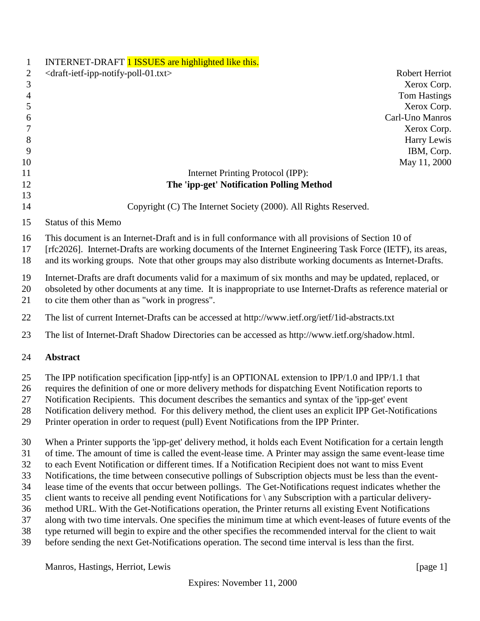| $\mathbf{1}$   | INTERNET-DRAFT 1 ISSUES are highlighted like this.                                                            |
|----------------|---------------------------------------------------------------------------------------------------------------|
| $\overline{2}$ | <draft-ietf-ipp-notify-poll-01.txt><br/>Robert Herriot</draft-ietf-ipp-notify-poll-01.txt>                    |
| 3              | Xerox Corp.                                                                                                   |
| $\overline{4}$ | <b>Tom Hastings</b>                                                                                           |
| 5              | Xerox Corp.                                                                                                   |
| 6              | Carl-Uno Manros                                                                                               |
| 7              | Xerox Corp.                                                                                                   |
| 8              | Harry Lewis                                                                                                   |
| 9              | IBM, Corp.                                                                                                    |
| 10             | May 11, 2000                                                                                                  |
| 11             | Internet Printing Protocol (IPP):                                                                             |
| 12             | The 'ipp-get' Notification Polling Method                                                                     |
| 13             |                                                                                                               |
| 14             | Copyright (C) The Internet Society (2000). All Rights Reserved.                                               |
| 15             | <b>Status of this Memo</b>                                                                                    |
| 16             | This document is an Internet-Draft and is in full conformance with all provisions of Section 10 of            |
| 17             | [rfc2026]. Internet-Drafts are working documents of the Internet Engineering Task Force (IETF), its areas,    |
| 18             | and its working groups. Note that other groups may also distribute working documents as Internet-Drafts.      |
| 19             | Internet-Drafts are draft documents valid for a maximum of six months and may be updated, replaced, or        |
| 20             | obsoleted by other documents at any time. It is inappropriate to use Internet-Drafts as reference material or |
| 21             | to cite them other than as "work in progress".                                                                |
| 22             | The list of current Internet-Drafts can be accessed at http://www.ietf.org/ietf/1id-abstracts.txt             |
| 23             | The list of Internet-Draft Shadow Directories can be accessed as http://www.ietf.org/shadow.html.             |
| 24             | <b>Abstract</b>                                                                                               |
| 25             | The IPP notification specification [ipp-ntfy] is an OPTIONAL extension to IPP/1.0 and IPP/1.1 that            |
| 26             | requires the definition of one or more delivery methods for dispatching Event Notification reports to         |
| 27             | Notification Recipients. This document describes the semantics and syntax of the 'ipp-get' event              |
| 28             | Notification delivery method. For this delivery method, the client uses an explicit IPP Get-Notifications     |
| 29             | Printer operation in order to request (pull) Event Notifications from the IPP Printer.                        |
| 30             | When a Printer supports the 'ipp-get' delivery method, it holds each Event Notification for a certain length  |
| 31             | of time. The amount of time is called the event-lease time. A Printer may assign the same event-lease time    |
| 32             | to each Event Notification or different times. If a Notification Recipient does not want to miss Event        |
| 33             | Notifications, the time between consecutive pollings of Subscription objects must be less than the event-     |
| 34             | lease time of the events that occur between pollings. The Get-Notifications request indicates whether the     |
| 35             | client wants to receive all pending event Notifications for \ any Subscription with a particular delivery-    |
| 36             | method URL. With the Get-Notifications operation, the Printer returns all existing Event Notifications        |
| 37             | along with two time intervals. One specifies the minimum time at which event-leases of future events of the   |
| 38             | type returned will begin to expire and the other specifies the recommended interval for the client to wait    |
| 39             | before sending the next Get-Notifications operation. The second time interval is less than the first.         |
|                | Manros, Hastings, Herriot, Lewis<br>[page $1$ ]                                                               |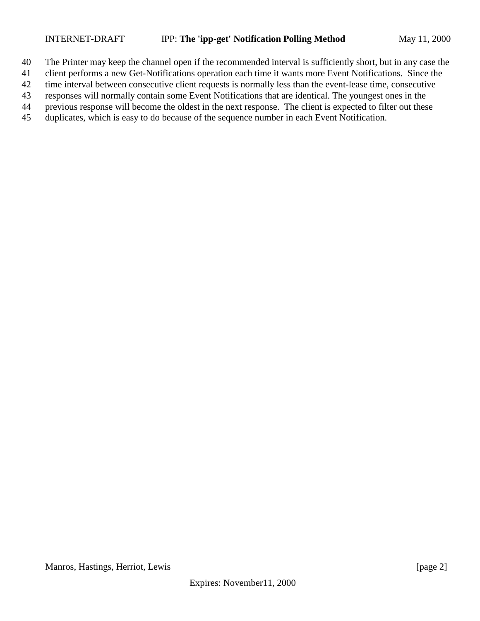- The Printer may keep the channel open if the recommended interval is sufficiently short, but in any case the
- client performs a new Get-Notifications operation each time it wants more Event Notifications. Since the
- time interval between consecutive client requests is normally less than the event-lease time, consecutive
- responses will normally contain some Event Notifications that are identical. The youngest ones in the
- previous response will become the oldest in the next response. The client is expected to filter out these
- duplicates, which is easy to do because of the sequence number in each Event Notification.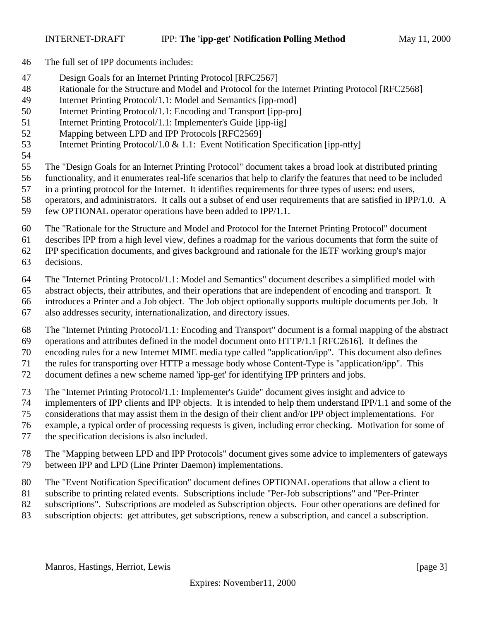- The full set of IPP documents includes:
- Design Goals for an Internet Printing Protocol [RFC2567]
- Rationale for the Structure and Model and Protocol for the Internet Printing Protocol [RFC2568]
- Internet Printing Protocol/1.1: Model and Semantics [ipp-mod]
- Internet Printing Protocol/1.1: Encoding and Transport [ipp-pro]
- 51 Internet Printing Protocol/1.1: Implementer's Guide [ipp-iig]
- Mapping between LPD and IPP Protocols [RFC2569]
- Internet Printing Protocol/1.0 & 1.1: Event Notification Specification [ipp-ntfy]
- 
- The "Design Goals for an Internet Printing Protocol" document takes a broad look at distributed printing
- functionality, and it enumerates real-life scenarios that help to clarify the features that need to be included
- in a printing protocol for the Internet. It identifies requirements for three types of users: end users,
- operators, and administrators. It calls out a subset of end user requirements that are satisfied in IPP/1.0. A few OPTIONAL operator operations have been added to IPP/1.1.
- 
- The "Rationale for the Structure and Model and Protocol for the Internet Printing Protocol" document

describes IPP from a high level view, defines a roadmap for the various documents that form the suite of

IPP specification documents, and gives background and rationale for the IETF working group's major

- decisions.
- The "Internet Printing Protocol/1.1: Model and Semantics" document describes a simplified model with

abstract objects, their attributes, and their operations that are independent of encoding and transport. It

introduces a Printer and a Job object. The Job object optionally supports multiple documents per Job. It

also addresses security, internationalization, and directory issues.

 The "Internet Printing Protocol/1.1: Encoding and Transport" document is a formal mapping of the abstract operations and attributes defined in the model document onto HTTP/1.1 [RFC2616]. It defines the

encoding rules for a new Internet MIME media type called "application/ipp". This document also defines

the rules for transporting over HTTP a message body whose Content-Type is "application/ipp". This

document defines a new scheme named 'ipp-get' for identifying IPP printers and jobs.

The "Internet Printing Protocol/1.1: Implementer's Guide" document gives insight and advice to

implementers of IPP clients and IPP objects. It is intended to help them understand IPP/1.1 and some of the

considerations that may assist them in the design of their client and/or IPP object implementations. For

example, a typical order of processing requests is given, including error checking. Motivation for some of

the specification decisions is also included.

 The "Mapping between LPD and IPP Protocols" document gives some advice to implementers of gateways between IPP and LPD (Line Printer Daemon) implementations.

The "Event Notification Specification" document defines OPTIONAL operations that allow a client to

- subscribe to printing related events. Subscriptions include "Per-Job subscriptions" and "Per-Printer
- subscriptions". Subscriptions are modeled as Subscription objects. Four other operations are defined for
- subscription objects: get attributes, get subscriptions, renew a subscription, and cancel a subscription.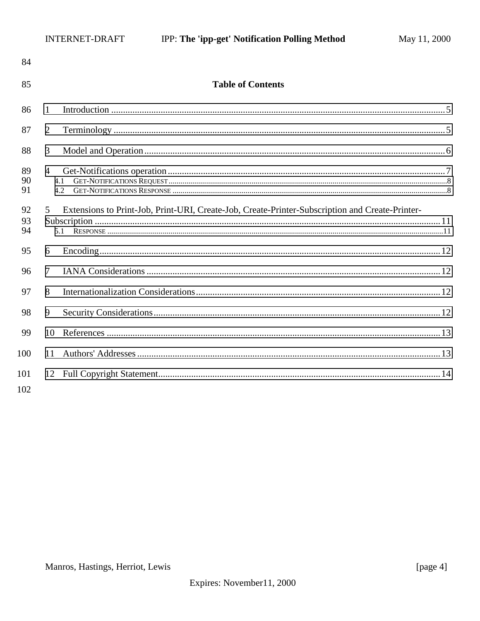| 84             |                                                                                                             |  |
|----------------|-------------------------------------------------------------------------------------------------------------|--|
| 85             | <b>Table of Contents</b>                                                                                    |  |
| 86             | 1                                                                                                           |  |
| 87             | $\overline{2}$                                                                                              |  |
| 88             | 3                                                                                                           |  |
| 89<br>90<br>91 | $\overline{4}$<br>4.1<br>4.2                                                                                |  |
| 92<br>93<br>94 | Extensions to Print-Job, Print-URI, Create-Job, Create-Printer-Subscription and Create-Printer-<br>5<br>5.1 |  |
| 95             | 6                                                                                                           |  |
| 96             | 7                                                                                                           |  |
| 97             | 8                                                                                                           |  |
| 98             | 9                                                                                                           |  |
| 99             | 10                                                                                                          |  |
| 100            | 11                                                                                                          |  |
| 101<br>102     |                                                                                                             |  |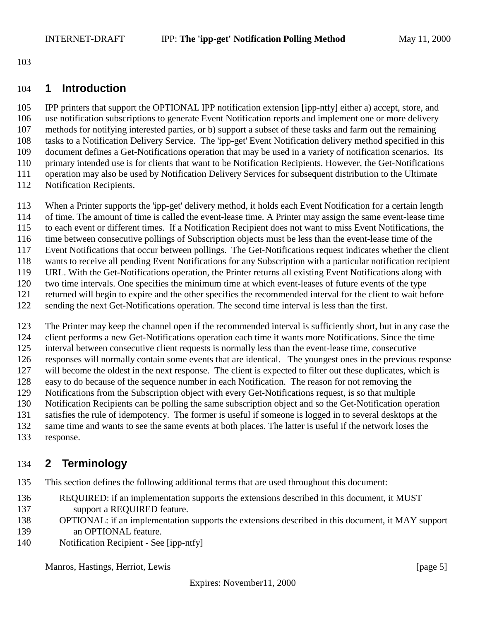<span id="page-4-0"></span>

#### **1 Introduction**

 IPP printers that support the OPTIONAL IPP notification extension [ipp-ntfy] either a) accept, store, and use notification subscriptions to generate Event Notification reports and implement one or more delivery methods for notifying interested parties, or b) support a subset of these tasks and farm out the remaining tasks to a Notification Delivery Service. The 'ipp-get' Event Notification delivery method specified in this document defines a Get-Notifications operation that may be used in a variety of notification scenarios. Its primary intended use is for clients that want to be Notification Recipients. However, the Get-Notifications operation may also be used by Notification Delivery Services for subsequent distribution to the Ultimate Notification Recipients.

- 
- When a Printer supports the 'ipp-get' delivery method, it holds each Event Notification for a certain length
- of time. The amount of time is called the event-lease time. A Printer may assign the same event-lease time
- to each event or different times. If a Notification Recipient does not want to miss Event Notifications, the
- time between consecutive pollings of Subscription objects must be less than the event-lease time of the
- Event Notifications that occur between pollings. The Get-Notifications request indicates whether the client
- wants to receive all pending Event Notifications for any Subscription with a particular notification recipient
- URL. With the Get-Notifications operation, the Printer returns all existing Event Notifications along with
- two time intervals. One specifies the minimum time at which event-leases of future events of the type returned will begin to expire and the other specifies the recommended interval for the client to wait before
- sending the next Get-Notifications operation. The second time interval is less than the first.

 The Printer may keep the channel open if the recommended interval is sufficiently short, but in any case the client performs a new Get-Notifications operation each time it wants more Notifications. Since the time interval between consecutive client requests is normally less than the event-lease time, consecutive responses will normally contain some events that are identical. The youngest ones in the previous response will become the oldest in the next response. The client is expected to filter out these duplicates, which is easy to do because of the sequence number in each Notification. The reason for not removing the Notifications from the Subscription object with every Get-Notifications request, is so that multiple Notification Recipients can be polling the same subscription object and so the Get-Notification operation satisfies the rule of idempotency. The former is useful if someone is logged in to several desktops at the same time and wants to see the same events at both places. The latter is useful if the network loses the response.

# **2 Terminology**

This section defines the following additional terms that are used throughout this document:

- REQUIRED: if an implementation supports the extensions described in this document, it MUST support a REQUIRED feature.
- OPTIONAL: if an implementation supports the extensions described in this document, it MAY support an OPTIONAL feature.
- Notification Recipient See [ipp-ntfy]

Manros, Hastings, Herriot, Lewis [page 5]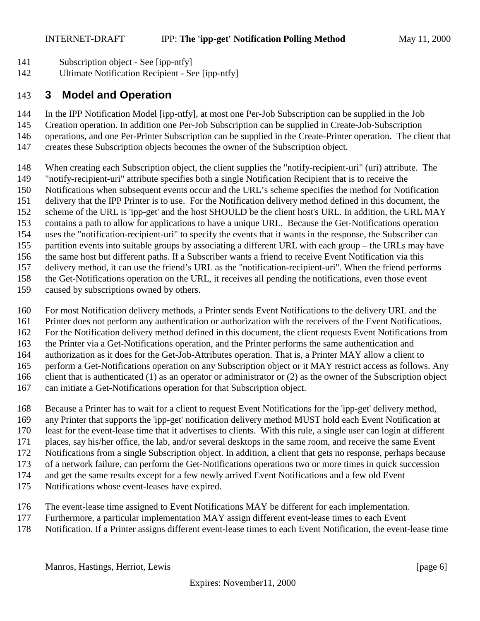- <span id="page-5-0"></span>Subscription object - See [ipp-ntfy]
- Ultimate Notification Recipient See [ipp-ntfy]

## **3 Model and Operation**

In the IPP Notification Model [ipp-ntfy], at most one Per-Job Subscription can be supplied in the Job

- Creation operation. In addition one Per-Job Subscription can be supplied in Create-Job-Subscription
- operations, and one Per-Printer Subscription can be supplied in the Create-Printer operation. The client that
- creates these Subscription objects becomes the owner of the Subscription object.
- When creating each Subscription object, the client supplies the "notify-recipient-uri" (uri) attribute. The
- "notify-recipient-uri" attribute specifies both a single Notification Recipient that is to receive the
- Notifications when subsequent events occur and the URL's scheme specifies the method for Notification
- delivery that the IPP Printer is to use. For the Notification delivery method defined in this document, the
- scheme of the URL is 'ipp-get' and the host SHOULD be the client host's URL. In addition, the URL MAY
- contains a path to allow for applications to have a unique URL. Because the Get-Notifications operation
- uses the "notification-recipient-uri" to specify the events that it wants in the response, the Subscriber can
- partition events into suitable groups by associating a different URL with each group the URLs may have
- the same host but different paths. If a Subscriber wants a friend to receive Event Notification via this
- delivery method, it can use the friend's URL as the "notification-recipient-uri". When the friend performs
- the Get-Notifications operation on the URL, it receives all pending the notifications, even those event
- caused by subscriptions owned by others.
- For most Notification delivery methods, a Printer sends Event Notifications to the delivery URL and the
- Printer does not perform any authentication or authorization with the receivers of the Event Notifications.
- For the Notification delivery method defined in this document, the client requests Event Notifications from
- the Printer via a Get-Notifications operation, and the Printer performs the same authentication and
- authorization as it does for the Get-Job-Attributes operation. That is, a Printer MAY allow a client to
- perform a Get-Notifications operation on any Subscription object or it MAY restrict access as follows. Any
- client that is authenticated (1) as an operator or administrator or (2) as the owner of the Subscription object
- can initiate a Get-Notifications operation for that Subscription object.
- Because a Printer has to wait for a client to request Event Notifications for the 'ipp-get' delivery method,
- any Printer that supports the 'ipp-get' notification delivery method MUST hold each Event Notification at
- least for the event-lease time that it advertises to clients. With this rule, a single user can login at different
- places, say his/her office, the lab, and/or several desktops in the same room, and receive the same Event
- Notifications from a single Subscription object. In addition, a client that gets no response, perhaps because
- of a network failure, can perform the Get-Notifications operations two or more times in quick succession
- and get the same results except for a few newly arrived Event Notifications and a few old Event
- Notifications whose event-leases have expired.
- The event-lease time assigned to Event Notifications MAY be different for each implementation.
- Furthermore, a particular implementation MAY assign different event-lease times to each Event
- Notification. If a Printer assigns different event-lease times to each Event Notification, the event-lease time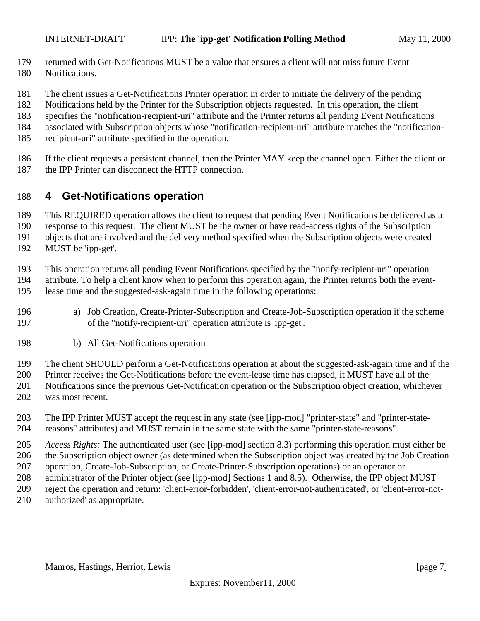- <span id="page-6-0"></span>returned with Get-Notifications MUST be a value that ensures a client will not miss future Event
- Notifications.
- The client issues a Get-Notifications Printer operation in order to initiate the delivery of the pending
- Notifications held by the Printer for the Subscription objects requested. In this operation, the client
- specifies the "notification-recipient-uri" attribute and the Printer returns all pending Event Notifications
- associated with Subscription objects whose "notification-recipient-uri" attribute matches the "notification-
- recipient-uri" attribute specified in the operation.
- If the client requests a persistent channel, then the Printer MAY keep the channel open. Either the client or the IPP Printer can disconnect the HTTP connection.

## **4 Get-Notifications operation**

This REQUIRED operation allows the client to request that pending Event Notifications be delivered as a

response to this request. The client MUST be the owner or have read-access rights of the Subscription

objects that are involved and the delivery method specified when the Subscription objects were created

MUST be 'ipp-get'.

This operation returns all pending Event Notifications specified by the "notify-recipient-uri" operation

 attribute. To help a client know when to perform this operation again, the Printer returns both the event-lease time and the suggested-ask-again time in the following operations:

- a) Job Creation, Create-Printer-Subscription and Create-Job-Subscription operation if the scheme of the "notify-recipient-uri" operation attribute is 'ipp-get'.
- b) All Get-Notifications operation

The client SHOULD perform a Get-Notifications operation at about the suggested-ask-again time and if the

Printer receives the Get-Notifications before the event-lease time has elapsed, it MUST have all of the

- Notifications since the previous Get-Notification operation or the Subscription object creation, whichever
- was most recent.
- The IPP Printer MUST accept the request in any state (see [ipp-mod] "printer-state" and "printer-state-reasons" attributes) and MUST remain in the same state with the same "printer-state-reasons".

 *Access Rights:* The authenticated user (see [ipp-mod] section 8.3) performing this operation must either be the Subscription object owner (as determined when the Subscription object was created by the Job Creation operation, Create-Job-Subscription, or Create-Printer-Subscription operations) or an operator or

- administrator of the Printer object (see [ipp-mod] Sections 1 and 8.5). Otherwise, the IPP object MUST
- reject the operation and return: 'client-error-forbidden', 'client-error-not-authenticated', or 'client-error-not-
- authorized' as appropriate.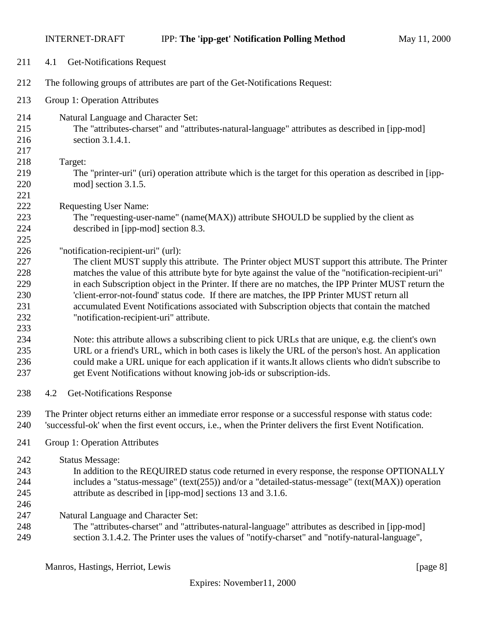<span id="page-7-0"></span>

| 211               | 4.1<br><b>Get-Notifications Request</b>                                                                                                                                                                                                                                                                          |
|-------------------|------------------------------------------------------------------------------------------------------------------------------------------------------------------------------------------------------------------------------------------------------------------------------------------------------------------|
| 212               | The following groups of attributes are part of the Get-Notifications Request:                                                                                                                                                                                                                                    |
| 213               | Group 1: Operation Attributes                                                                                                                                                                                                                                                                                    |
| 214<br>215<br>216 | Natural Language and Character Set:<br>The "attributes-charset" and "attributes-natural-language" attributes as described in [ipp-mod]<br>section 3.1.4.1.                                                                                                                                                       |
| 217<br>218        | Target:                                                                                                                                                                                                                                                                                                          |
| 219<br>220        | The "printer-uri" (uri) operation attribute which is the target for this operation as described in [ipp-<br>mod] section 3.1.5.                                                                                                                                                                                  |
| 221<br>222        | <b>Requesting User Name:</b>                                                                                                                                                                                                                                                                                     |
| 223<br>224<br>225 | The "requesting-user-name" (name(MAX)) attribute SHOULD be supplied by the client as<br>described in [ipp-mod] section 8.3.                                                                                                                                                                                      |
| 226<br>227        | "notification-recipient-uri" (url):<br>The client MUST supply this attribute. The Printer object MUST support this attribute. The Printer                                                                                                                                                                        |
| 228<br>229        | matches the value of this attribute byte for byte against the value of the "notification-recipient-uri"<br>in each Subscription object in the Printer. If there are no matches, the IPP Printer MUST return the                                                                                                  |
| 230<br>231<br>232 | 'client-error-not-found' status code. If there are matches, the IPP Printer MUST return all<br>accumulated Event Notifications associated with Subscription objects that contain the matched<br>"notification-recipient-uri" attribute.                                                                          |
| 233               |                                                                                                                                                                                                                                                                                                                  |
| 234<br>235<br>236 | Note: this attribute allows a subscribing client to pick URLs that are unique, e.g. the client's own<br>URL or a friend's URL, which in both cases is likely the URL of the person's host. An application<br>could make a URL unique for each application if it wants. It allows clients who didn't subscribe to |
| 237               | get Event Notifications without knowing job-ids or subscription-ids.                                                                                                                                                                                                                                             |
| 238               | <b>Get-Notifications Response</b><br>4.2                                                                                                                                                                                                                                                                         |
| 239<br>240        | The Printer object returns either an immediate error response or a successful response with status code:<br>'successful-ok' when the first event occurs, i.e., when the Printer delivers the first Event Notification.                                                                                           |
| 241               | Group 1: Operation Attributes                                                                                                                                                                                                                                                                                    |
| 242               | <b>Status Message:</b>                                                                                                                                                                                                                                                                                           |
| 243<br>244<br>245 | In addition to the REQUIRED status code returned in every response, the response OPTIONALLY<br>includes a "status-message" (text(255)) and/or a "detailed-status-message" (text(MAX)) operation<br>attribute as described in [ipp-mod] sections 13 and 3.1.6.                                                    |
| 246<br>247        | Natural Language and Character Set:                                                                                                                                                                                                                                                                              |
| 248<br>249        | The "attributes-charset" and "attributes-natural-language" attributes as described in [ipp-mod]<br>section 3.1.4.2. The Printer uses the values of "notify-charset" and "notify-natural-language",                                                                                                               |

Manros, Hastings, Herriot, Lewis [page 8]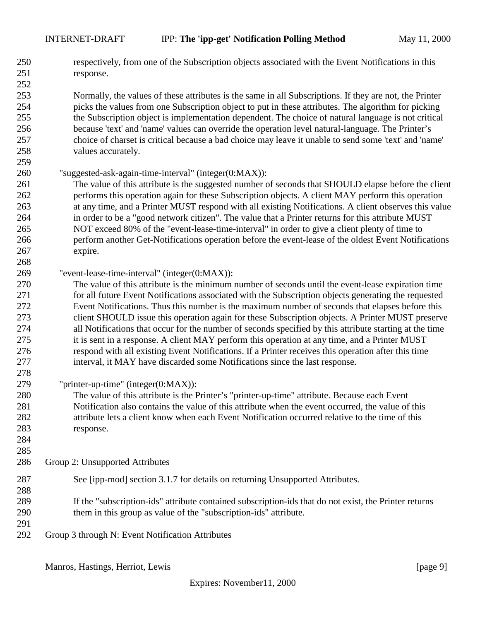respectively, from one of the Subscription objects associated with the Event Notifications in this response. 

 Normally, the values of these attributes is the same in all Subscriptions. If they are not, the Printer picks the values from one Subscription object to put in these attributes. The algorithm for picking the Subscription object is implementation dependent. The choice of natural language is not critical because 'text' and 'name' values can override the operation level natural-language. The Printer's choice of charset is critical because a bad choice may leave it unable to send some 'text' and 'name' values accurately.

- "suggested-ask-again-time-interval" (integer(0:MAX)):
- The value of this attribute is the suggested number of seconds that SHOULD elapse before the client performs this operation again for these Subscription objects. A client MAY perform this operation at any time, and a Printer MUST respond with all existing Notifications. A client observes this value in order to be a "good network citizen". The value that a Printer returns for this attribute MUST NOT exceed 80% of the "event-lease-time-interval" in order to give a client plenty of time to perform another Get-Notifications operation before the event-lease of the oldest Event Notifications expire.
- "event-lease-time-interval" (integer(0:MAX)):

 The value of this attribute is the minimum number of seconds until the event-lease expiration time for all future Event Notifications associated with the Subscription objects generating the requested Event Notifications. Thus this number is the maximum number of seconds that elapses before this client SHOULD issue this operation again for these Subscription objects. A Printer MUST preserve all Notifications that occur for the number of seconds specified by this attribute starting at the time it is sent in a response. A client MAY perform this operation at any time, and a Printer MUST respond with all existing Event Notifications. If a Printer receives this operation after this time interval, it MAY have discarded some Notifications since the last response.

- "printer-up-time" (integer(0:MAX)):
- The value of this attribute is the Printer's "printer-up-time" attribute. Because each Event Notification also contains the value of this attribute when the event occurred, the value of this attribute lets a client know when each Event Notification occurred relative to the time of this response.
- 

- Group 2: Unsupported Attributes
- See [ipp-mod] section 3.1.7 for details on returning Unsupported Attributes.
- If the "subscription-ids" attribute contained subscription-ids that do not exist, the Printer returns them in this group as value of the "subscription-ids" attribute.
- 

Group 3 through N: Event Notification Attributes

Manros, Hastings, Herriot, Lewis [page 9]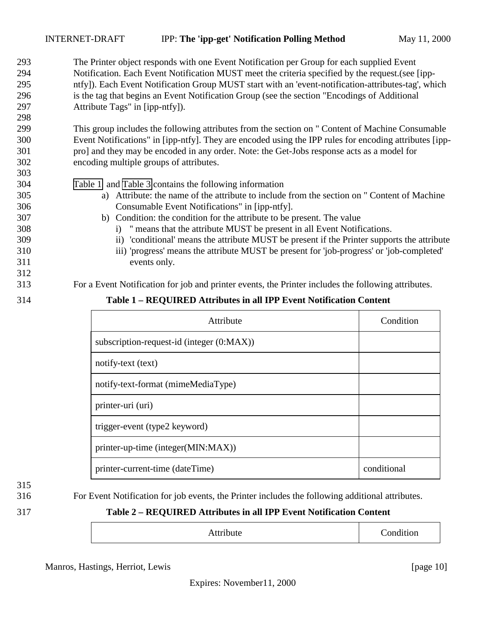| 293 | The Printer object responds with one Event Notification per Group for each supplied Event              |
|-----|--------------------------------------------------------------------------------------------------------|
| 294 | Notification. Each Event Notification MUST meet the criteria specified by the request. (see [ipp-      |
| 295 | ntfy]). Each Event Notification Group MUST start with an 'event-notification-attributes-tag', which    |
| 296 | is the tag that begins an Event Notification Group (see the section "Encodings of Additional           |
| 297 | Attribute Tags" in [ipp-ntfy]).                                                                        |
| 298 |                                                                                                        |
| 299 | This group includes the following attributes from the section on " Content of Machine Consumable       |
| 300 | Event Notifications" in [ipp-ntfy]. They are encoded using the IPP rules for encoding attributes [ipp- |
| 301 | pro] and they may be encoded in any order. Note: the Get-Jobs response acts as a model for             |
| 302 | encoding multiple groups of attributes.                                                                |
| 303 |                                                                                                        |
| 304 | Table 1 and Table 3 contains the following information                                                 |
| 305 | Attribute: the name of the attribute to include from the section on " Content of Machine<br>a)         |
| 306 | Consumable Event Notifications" in [ipp-ntfy].                                                         |
| 307 | b) Condition: the condition for the attribute to be present. The value                                 |
| 308 | i) " means that the attribute MUST be present in all Event Notifications.                              |
| 309 | ii) conditional means the attribute MUST be present if the Printer supports the attribute              |
| 310 | iii) 'progress' means the attribute MUST be present for 'job-progress' or 'job-completed'              |
| 311 | events only.                                                                                           |
| 312 |                                                                                                        |
| 313 | For a Event Notification for job and printer events, the Printer includes the following attributes.    |
| 314 | Table 1 - REQUIRED Attributes in all IPP Event Notification Content                                    |

| Attribute                                 | Condition   |
|-------------------------------------------|-------------|
| subscription-request-id (integer (0:MAX)) |             |
| notify-text (text)                        |             |
| notify-text-format (mimeMediaType)        |             |
| printer-uri (uri)                         |             |
| trigger-event (type2 keyword)             |             |
| printer-up-time (integer(MIN:MAX))        |             |
| printer-current-time (dateTime)           | conditional |

For Event Notification for job events, the Printer includes the following additional attributes.

#### **Table 2 – REQUIRED Attributes in all IPP Event Notification Content**

| Attribute | Condition |
|-----------|-----------|
|-----------|-----------|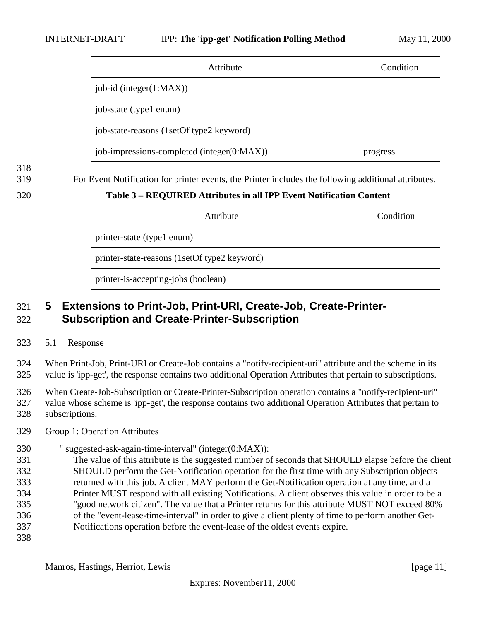#### <span id="page-10-0"></span>INTERNET-DRAFT IPP: **The 'ipp-get' Notification Polling Method** May 11, 2000

| Attribute                                  | Condition |
|--------------------------------------------|-----------|
| job-id (integer $(1:MAX)$ )                |           |
| job-state (type1 enum)                     |           |
| job-state-reasons (1setOf type2 keyword)   |           |
| job-impressions-completed (integer(0:MAX)) | progress  |

For Event Notification for printer events, the Printer includes the following additional attributes.

#### **Table 3 – REQUIRED Attributes in all IPP Event Notification Content**

| Attribute                                    | Condition |
|----------------------------------------------|-----------|
| printer-state (type1 enum)                   |           |
| printer-state-reasons (1setOf type2 keyword) |           |
| printer-is-accepting-jobs (boolean)          |           |

## **5 Extensions to Print-Job, Print-URI, Create-Job, Create-Printer-Subscription and Create-Printer-Subscription**

5.1 Response

 When Print-Job, Print-URI or Create-Job contains a "notify-recipient-uri" attribute and the scheme in its value is 'ipp-get', the response contains two additional Operation Attributes that pertain to subscriptions.

 When Create-Job-Subscription or Create-Printer-Subscription operation contains a "notify-recipient-uri" value whose scheme is 'ipp-get', the response contains two additional Operation Attributes that pertain to subscriptions.

- Group 1: Operation Attributes
- " suggested-ask-again-time-interval" (integer(0:MAX)):
- The value of this attribute is the suggested number of seconds that SHOULD elapse before the client SHOULD perform the Get-Notification operation for the first time with any Subscription objects returned with this job. A client MAY perform the Get-Notification operation at any time, and a Printer MUST respond with all existing Notifications. A client observes this value in order to be a "good network citizen". The value that a Printer returns for this attribute MUST NOT exceed 80% of the "event-lease-time-interval" in order to give a client plenty of time to perform another Get-
- Notifications operation before the event-lease of the oldest events expire.
-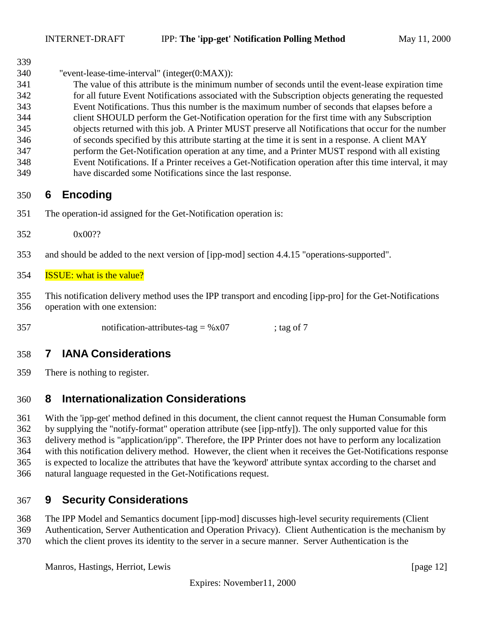<span id="page-11-0"></span>

"event-lease-time-interval" (integer(0:MAX)):

 The value of this attribute is the minimum number of seconds until the event-lease expiration time for all future Event Notifications associated with the Subscription objects generating the requested Event Notifications. Thus this number is the maximum number of seconds that elapses before a client SHOULD perform the Get-Notification operation for the first time with any Subscription objects returned with this job. A Printer MUST preserve all Notifications that occur for the number of seconds specified by this attribute starting at the time it is sent in a response. A client MAY perform the Get-Notification operation at any time, and a Printer MUST respond with all existing Event Notifications. If a Printer receives a Get-Notification operation after this time interval, it may have discarded some Notifications since the last response.

# **6 Encoding**

- The operation-id assigned for the Get-Notification operation is:
- 0x00??
- and should be added to the next version of [ipp-mod] section 4.4.15 "operations-supported".

#### ISSUE: what is the value?

 This notification delivery method uses the IPP transport and encoding [ipp-pro] for the Get-Notifications operation with one extension:

357 notification-attributes-tag =  $%x07$  ; tag of 7

# **7 IANA Considerations**

There is nothing to register.

# **8 Internationalization Considerations**

 With the 'ipp-get' method defined in this document, the client cannot request the Human Consumable form by supplying the "notify-format" operation attribute (see [ipp-ntfy]). The only supported value for this delivery method is "application/ipp". Therefore, the IPP Printer does not have to perform any localization with this notification delivery method. However, the client when it receives the Get-Notifications response is expected to localize the attributes that have the 'keyword' attribute syntax according to the charset and natural language requested in the Get-Notifications request.

# **9 Security Considerations**

The IPP Model and Semantics document [ipp-mod] discusses high-level security requirements (Client

Authentication, Server Authentication and Operation Privacy). Client Authentication is the mechanism by

which the client proves its identity to the server in a secure manner. Server Authentication is the

Manros, Hastings, Herriot, Lewis [page 12]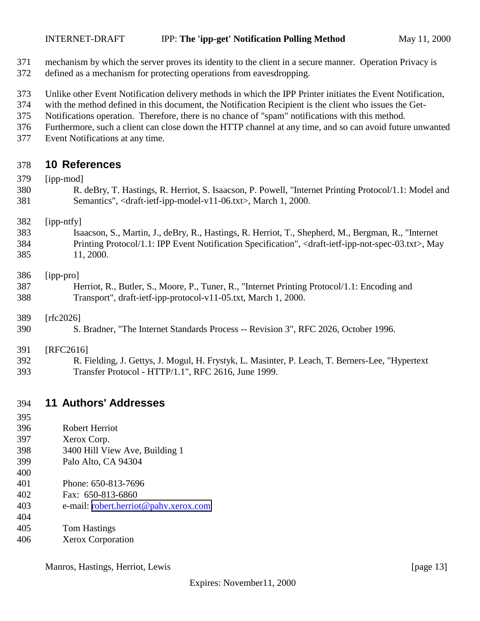- <span id="page-12-0"></span>mechanism by which the server proves its identity to the client in a secure manner. Operation Privacy is
- defined as a mechanism for protecting operations from eavesdropping.
- Unlike other Event Notification delivery methods in which the IPP Printer initiates the Event Notification,
- with the method defined in this document, the Notification Recipient is the client who issues the Get-
- Notifications operation. Therefore, there is no chance of "spam" notifications with this method.
- Furthermore, such a client can close down the HTTP channel at any time, and so can avoid future unwanted
- Event Notifications at any time.

#### **10 References**

| 379 | [ipp-mod]                                                                                                                            |
|-----|--------------------------------------------------------------------------------------------------------------------------------------|
| 380 | R. deBry, T. Hastings, R. Herriot, S. Isaacson, P. Powell, "Internet Printing Protocol/1.1: Model and                                |
| 381 | Semantics", <draft-ietf-ipp-model-v11-06.txt>, March 1, 2000.</draft-ietf-ipp-model-v11-06.txt>                                      |
| 382 | [ipp-ntfy]                                                                                                                           |
| 383 | Isaacson, S., Martin, J., deBry, R., Hastings, R. Herriot, T., Shepherd, M., Bergman, R., "Internet                                  |
| 384 | Printing Protocol/1.1: IPP Event Notification Specification", <draft-ietf-ipp-not-spec-03.txt>, May</draft-ietf-ipp-not-spec-03.txt> |
| 385 | 11, 2000.                                                                                                                            |
| 386 | [ipp-pro]                                                                                                                            |
| 387 | Herriot, R., Butler, S., Moore, P., Tuner, R., "Internet Printing Protocol/1.1: Encoding and                                         |
| 388 | Transport", draft-ietf-ipp-protocol-v11-05.txt, March 1, 2000.                                                                       |
| 389 | [rfc2026]                                                                                                                            |
| 390 | S. Bradner, "The Internet Standards Process -- Revision 3", RFC 2026, October 1996.                                                  |
| 391 | [RFC2616]                                                                                                                            |
| 392 | R. Fielding, J. Gettys, J. Mogul, H. Frystyk, L. Masinter, P. Leach, T. Berners-Lee, "Hypertext"                                     |
| 393 | Transfer Protocol - HTTP/1.1", RFC 2616, June 1999.                                                                                  |

**11 Authors' Addresses**

| 395 |                                       |
|-----|---------------------------------------|
| 396 | Robert Herriot                        |
| 397 | Xerox Corp.                           |
| 398 | 3400 Hill View Ave, Building 1        |
| 399 | Palo Alto, CA 94304                   |
| 400 |                                       |
| 401 | Phone: 650-813-7696                   |
| 402 | Fax: 650-813-6860                     |
| 403 | e-mail: robert.herriot@pahv.xerox.com |
| 404 |                                       |
| 405 | <b>Tom Hastings</b>                   |
| 406 | <b>Xerox Corporation</b>              |
|     |                                       |

Manros, Hastings, Herriot, Lewis [page 13]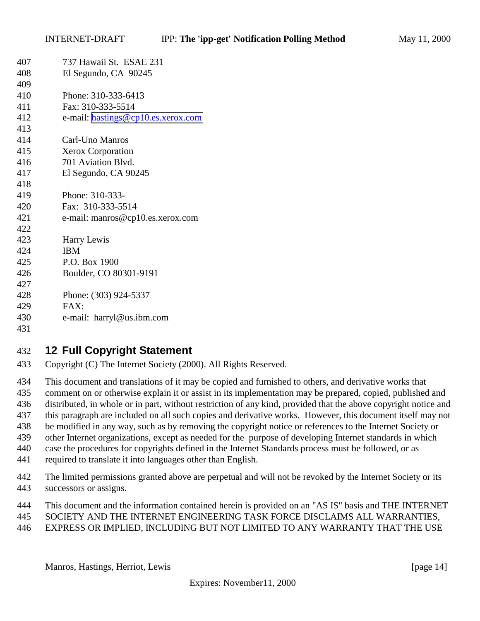<span id="page-13-0"></span>

| 407 | 737 Hawaii St. ESAE 231            |
|-----|------------------------------------|
| 408 | El Segundo, CA 90245               |
| 409 |                                    |
| 410 | Phone: 310-333-6413                |
| 411 | Fax: 310-333-5514                  |
| 412 | e-mail: hastings@cp10.es.xerox.com |
| 413 |                                    |
| 414 | Carl-Uno Manros                    |
| 415 | <b>Xerox Corporation</b>           |
| 416 | 701 Aviation Blvd.                 |
| 417 | El Segundo, CA 90245               |
| 418 |                                    |
| 419 | Phone: 310-333-                    |
| 420 | Fax: 310-333-5514                  |
| 421 | e-mail: manros@cp10.es.xerox.com   |
| 422 |                                    |
| 423 | Harry Lewis                        |
| 424 | <b>IBM</b>                         |
| 425 | P.O. Box 1900                      |
| 426 | Boulder, CO 80301-9191             |
| 427 |                                    |
| 428 | Phone: (303) 924-5337              |
| 429 | FAX:                               |
| 430 | e-mail: harryl@us.ibm.com          |
| 431 |                                    |

# **12 Full Copyright Statement**

- Copyright (C) The Internet Society (2000). All Rights Reserved.
- This document and translations of it may be copied and furnished to others, and derivative works that comment on or otherwise explain it or assist in its implementation may be prepared, copied, published and distributed, in whole or in part, without restriction of any kind, provided that the above copyright notice and this paragraph are included on all such copies and derivative works. However, this document itself may not be modified in any way, such as by removing the copyright notice or references to the Internet Society or other Internet organizations, except as needed for the purpose of developing Internet standards in which case the procedures for copyrights defined in the Internet Standards process must be followed, or as required to translate it into languages other than English.
- The limited permissions granted above are perpetual and will not be revoked by the Internet Society or its successors or assigns.
- This document and the information contained herein is provided on an "AS IS" basis and THE INTERNET
- SOCIETY AND THE INTERNET ENGINEERING TASK FORCE DISCLAIMS ALL WARRANTIES,
- EXPRESS OR IMPLIED, INCLUDING BUT NOT LIMITED TO ANY WARRANTY THAT THE USE